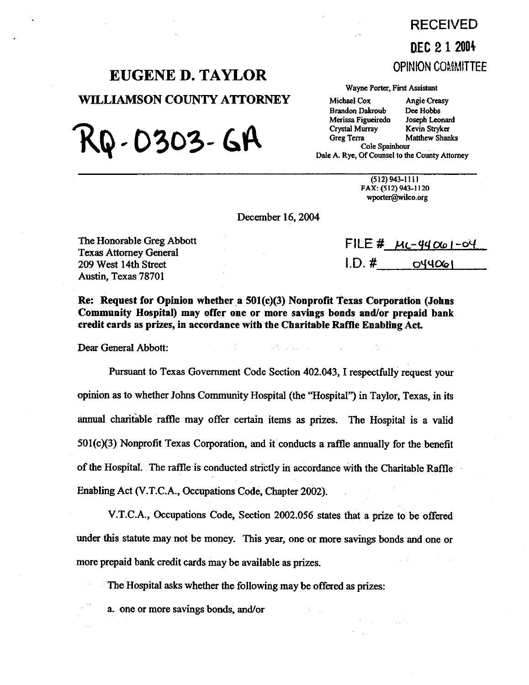## RECEIVED **D.EC 21 2001**  OPINION COMMITTEE

# **EUGENE D. TAYLOR**

**WILLIAMSON COUNTY ATTORNEY** 

KQ-0303-6A

#### Wayne Porter, First Assistant

Michael Cox Angie Creasy<br>Brandon Dakroub Dee Hobbs Brandon Dakroub Dee Hobbs<br>Merissa Figueiredo Joseph Leonard Merissa Figueiredo Joseph Leonard<br>Crystal Murray Kevin Stryker Crystal Murray<br>Greg Terra Cole Spainhour

Matthew Shanks

Dale A. Rye, Of Counsel to the County Attorney

(512)943-1111 FAX: (512) 943-1120 wporter@wilco.org

December 16,2004

The Honorable Greg Abbott Texas Attorney General **209** West 14th Street Austin, Texas 78701

 $FILE # \mu - 4400 - 94$  $1. D. # 1.$ 044061

**Re: Request for Opinion whether a 501(c)(3) Nonprofit Texas Corporation (Johns Community Hospital) may offer one or more savings bonds and/or prepaid bank credit cards as prizes, in accordance with the Charitable Rafile Enabling Act.** 

Dear General Abbott:

Pursuant to Texas Government Code Section 402.043, I respectfully request your opinion as to whether Johns Community Hospital (the "Hospital") in Taylor, Texas, in its annual charitable raffle may offer certain items as prizes. The Hospital is a valid  $501(c)(3)$  Nonprofit Texas Corporation, and it conducts a raffle annually for the benefit of the Hospital. The raffle is conducted strictly in accordance with the Charitable Raffle' Enabling Act (V.T.C.A., Occupations Code, Chapter 2002).

V.T.C.A., Occupations Code, Section 2002.056 states that a prize to be offered under this statute may not be money. This year, one or more savings bonds and one or more prepaid bank credit cards may be available as prizes.

The Hospital asks whether the following may be offered as prizes:

a. one or more savings bonds, and/or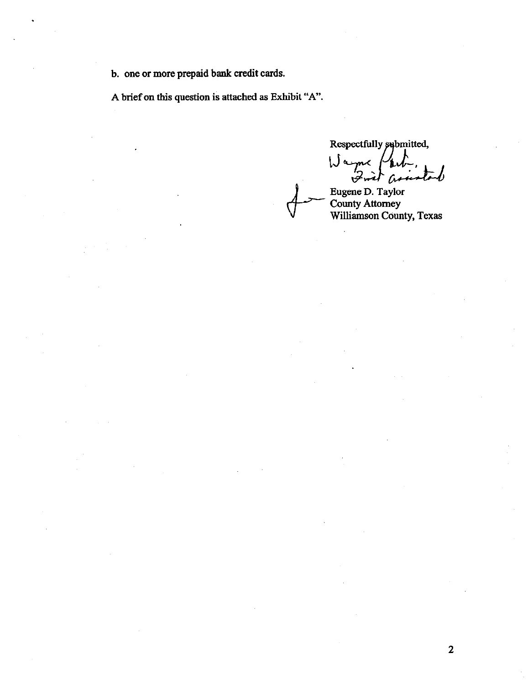b. one or more prepaid bank credit cards.

A brief on this question is attached as Exhibit "A".

Respectfully submitted, Wayne /  $2\pi i$  $\hat{\mu}$ 

Eugene D. Taylor Williamson County, Texas

2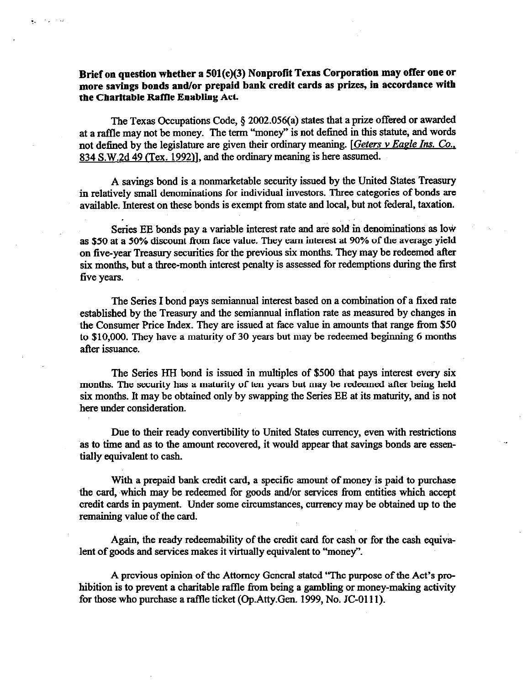## **Brief on question whether a 501(c)(3) Nonprofit Texas Corporation may offer one or more savings bonds and/or prepaid bank credit cards as prizes, in accordance with the Charitable Baftle Enabling Act.**

in Kigara Pau

The Texas Occupations Code,  $\S$  2002.056(a) states that a prize offered or awarded at a raffle may not be money. The term "'money" is not defined in this statute, and words not defined by the legislature are given their ordinary meaning. [Geters v Eagle Ins. Co., 834 S.W.2d 49 (Tex. 1992)], and the ordinary meaning is here assumed.

A savings bond is a nonmarketable security issued by the United States Treasury in relatively small denominations for individual investors. Three categories of bonds are available. Interest on these bonds is exempt from state and local, but not federal, taxation.

Series EE bonds pay a variable interest rate and are sold in denominations as low as \$50 at a 50% discount from face value. They eam interest at 90% of the average yield on five-year Treasury securities for the previous six months. They may be redeemed afler six months, but a three-month interest penalty is assessed for redemptions during the first five years.

The Series I bond pays semiannual interest based on a combination of a fixed rate established by the Treasury and the semiannual inflation rate as measured by changes in the Consumer Price Index. They are issued at face value in amounts that range from \$50 to \$10,000. They have a maturity of 30 years but may be redeemed beginning 6 months after issuance.

The Series HH bond is issued in multiples of \$500 that pays interest every six months. The security has a maturity of ten years but may be redeemed after being held six months. It may be obtained only by swapping the Series EE at its maturity, and is not here under consideration.

Due to their ready convertibility to United States currency, even with restrictions as to time and as to the amount recovered, it would appear that savings bonds are essentially equivalent to cash.

With a prepaid bank credit card, a specific amount of money is paid to purchase the card, which may be redeemed for goods and/or services from entities which accept credit cards in payment. Under some circumstances, currency may be obtained up to the remaining value of the card.

Again, the ready redeemability of the credit card for cash or for the cash equivalent of goods and services makes it virtually equivalent to "money".

A previous opinion of the Attorney General stated 'The purpose of the Act's prohibition is to prevent a charitable raffle from being a gambling or money-making activity for those who purchase a raffle ticket (Gp.Atty.Gen. 1999, No, JC-0111).